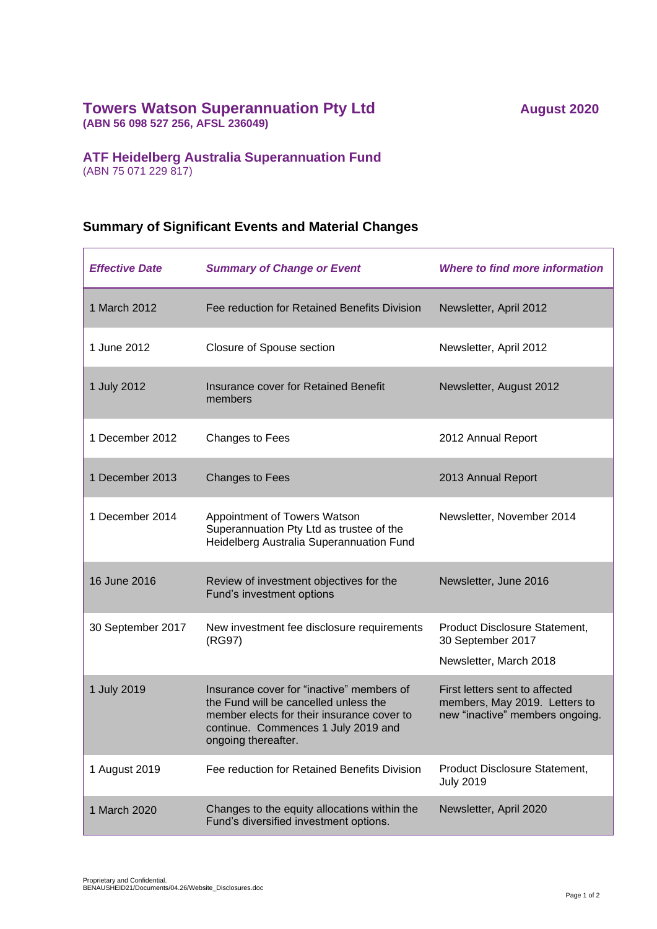## **Towers Watson Superannuation Pty Ltd August** 2020

**(ABN 56 098 527 256, AFSL 236049)**

## **ATF Heidelberg Australia Superannuation Fund**

(ABN 75 071 229 817)

## **Summary of Significant Events and Material Changes**

| <b>Effective Date</b> | <b>Summary of Change or Event</b>                                                                                                                                                              | Where to find more information                                                                     |
|-----------------------|------------------------------------------------------------------------------------------------------------------------------------------------------------------------------------------------|----------------------------------------------------------------------------------------------------|
| 1 March 2012          | Fee reduction for Retained Benefits Division                                                                                                                                                   | Newsletter, April 2012                                                                             |
| 1 June 2012           | Closure of Spouse section                                                                                                                                                                      | Newsletter, April 2012                                                                             |
| 1 July 2012           | Insurance cover for Retained Benefit<br>members                                                                                                                                                | Newsletter, August 2012                                                                            |
| 1 December 2012       | Changes to Fees                                                                                                                                                                                | 2012 Annual Report                                                                                 |
| 1 December 2013       | Changes to Fees                                                                                                                                                                                | 2013 Annual Report                                                                                 |
| 1 December 2014       | Appointment of Towers Watson<br>Superannuation Pty Ltd as trustee of the<br>Heidelberg Australia Superannuation Fund                                                                           | Newsletter, November 2014                                                                          |
| 16 June 2016          | Review of investment objectives for the<br>Fund's investment options                                                                                                                           | Newsletter, June 2016                                                                              |
| 30 September 2017     | New investment fee disclosure requirements<br>(RG97)                                                                                                                                           | Product Disclosure Statement,<br>30 September 2017<br>Newsletter, March 2018                       |
| 1 July 2019           | Insurance cover for "inactive" members of<br>the Fund will be cancelled unless the<br>member elects for their insurance cover to<br>continue. Commences 1 July 2019 and<br>ongoing thereafter. | First letters sent to affected<br>members, May 2019. Letters to<br>new "inactive" members ongoing. |
| 1 August 2019         | Fee reduction for Retained Benefits Division                                                                                                                                                   | Product Disclosure Statement,<br><b>July 2019</b>                                                  |
| 1 March 2020          | Changes to the equity allocations within the<br>Fund's diversified investment options.                                                                                                         | Newsletter, April 2020                                                                             |